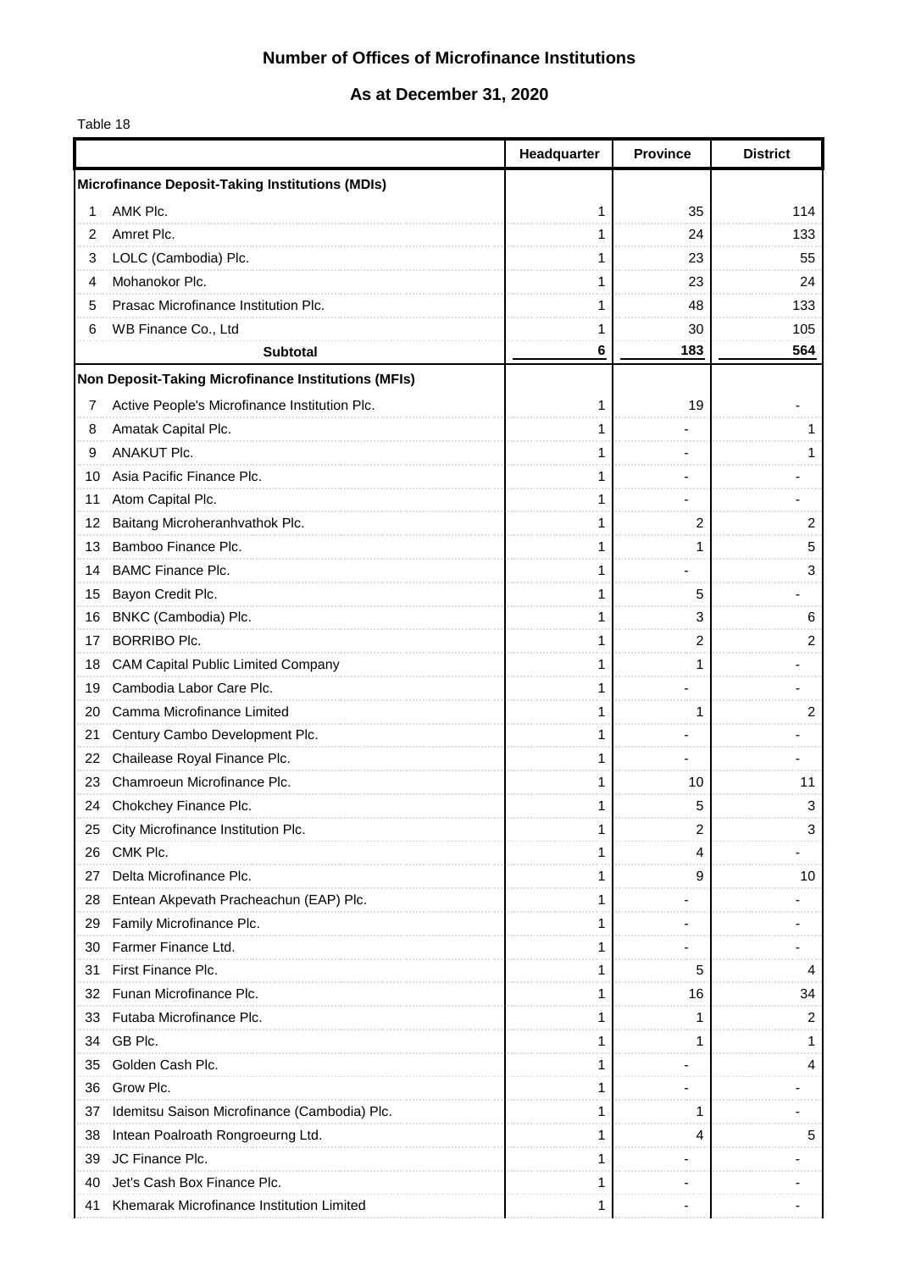### **Number of Offices of Microfinance Institutions**

# **As at December 31, 2020**

Table 18

|    |                                                            | Headquarter | <b>Province</b> | <b>District</b> |
|----|------------------------------------------------------------|-------------|-----------------|-----------------|
|    | <b>Microfinance Deposit-Taking Institutions (MDIs)</b>     |             |                 |                 |
| 1  | AMK Plc.                                                   |             | 35              | 114             |
| 2  | Amret Plc.                                                 |             | 24              | 133             |
| 3  | LOLC (Cambodia) Plc.                                       |             | 23              | 55              |
| 4  | Mohanokor Plc.                                             |             | 23              | 24              |
| 5  | Prasac Microfinance Institution Plc.                       |             | 48              | 133             |
| 6  | WB Finance Co., Ltd                                        |             | 30              | 105             |
|    | <b>Subtotal</b>                                            | 6           | 183             | 564             |
|    | <b>Non Deposit-Taking Microfinance Institutions (MFIs)</b> |             |                 |                 |
| 7  | Active People's Microfinance Institution Plc.              |             | 19              |                 |
| 8  | Amatak Capital Plc.                                        |             |                 |                 |
| 9  | <b>ANAKUT Plc.</b>                                         |             |                 |                 |
|    | 10 Asia Pacific Finance Plc.                               |             |                 |                 |
|    | 11 Atom Capital Plc.                                       |             |                 |                 |
|    | 12 Baitang Microheranhvathok Plc.                          |             | 2               | 2               |
|    | 13 Bamboo Finance Plc.                                     |             | 1               | 5               |
|    | 14 BAMC Finance Plc.                                       |             |                 | 3               |
|    | 15 Bayon Credit Plc.                                       |             | 5               |                 |
|    | 16 BNKC (Cambodia) Plc.                                    |             | 3               | 6               |
| 17 | <b>BORRIBO Plc.</b>                                        |             | 2               | 2               |
|    | 18 CAM Capital Public Limited Company                      |             | 1               |                 |
|    | 19 Cambodia Labor Care Plc.                                |             |                 |                 |
| 20 | Camma Microfinance Limited                                 |             | 1               | 2               |
| 21 | Century Cambo Development Plc.                             |             |                 |                 |
| 22 | Chailease Royal Finance Plc.                               |             |                 |                 |
|    | 23 Chamroeun Microfinance Plc.                             |             | 10              | 11              |
|    | 24 Chokchey Finance Plc.                                   |             | 5               | 3               |
| 25 | City Microfinance Institution Plc.                         |             | 2               | 3               |
| 26 | CMK Plc.                                                   |             | 4               |                 |
| 27 | Delta Microfinance Plc.                                    |             | 9               | 10              |
| 28 | Entean Akpevath Pracheachun (EAP) Plc.                     |             |                 |                 |
| 29 | Family Microfinance Plc.                                   |             |                 |                 |
| 30 | Farmer Finance Ltd.                                        |             |                 |                 |
| 31 | First Finance Plc.                                         |             | 5               |                 |
| 32 | Funan Microfinance Plc.                                    |             | 16              | 34              |
|    | 33 Futaba Microfinance Plc.                                |             |                 | 2               |
|    | 34 GB Plc.                                                 |             |                 |                 |
| 35 | Golden Cash Plc.                                           |             |                 | 4               |
| 36 | Grow Plc.                                                  |             |                 |                 |
| 37 | Idemitsu Saison Microfinance (Cambodia) Plc.               |             | 1               |                 |
| 38 | Intean Poalroath Rongroeurng Ltd.                          |             | 4               | 5               |
| 39 | JC Finance Plc.                                            |             |                 |                 |
| 40 | Jet's Cash Box Finance Plc.                                |             |                 |                 |
| 41 | Khemarak Microfinance Institution Limited                  | 1           |                 |                 |